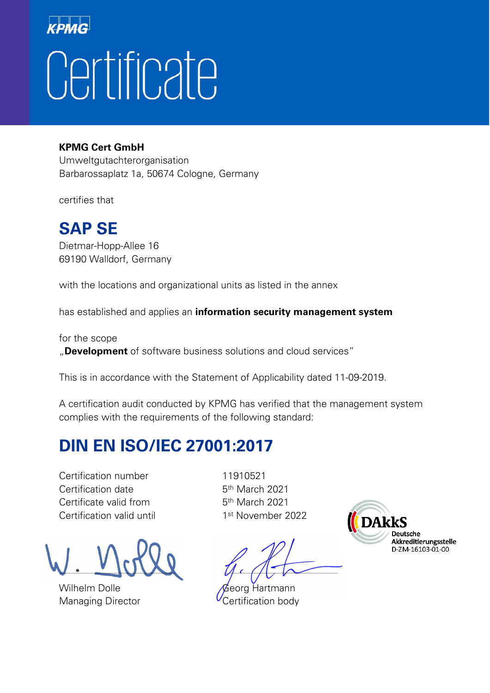# Certificate

#### **KPMG Cert GmbH**

Umweltgutachterorganisation Barbarossaplatz 1a, 50674 Cologne, Germany

certifies that

#### **SAP SE**

Dietmar-Hopp-Allee 16 69190 Walldorf, Germany

with the locations and organizational units as listed in the annex

has established and applies an **information security management system**

for the scope "**Development** of software business solutions and cloud services"

This is in accordance with the Statement of Applicability dated 11-09-2019.

A certification audit conducted by KPMG has verified that the management system complies with the requirements of the following standard:

#### **DIN EN ISO/IEC 27001:2017**

Certification number 11910521 Certification date 5<sup>th</sup> March 2021 Certificate valid from 5th March 2021 Certification valid until 1st November 2022

 $\mathcal{L}$  .  $\mathcal{L}$  .  $\mathcal{L}$  .  $\mathcal{L}$  .  $\mathcal{L}$  .  $\mathcal{L}$ 

Wilhelm Dolle Georg Hartmann





Akkreditierungsstelle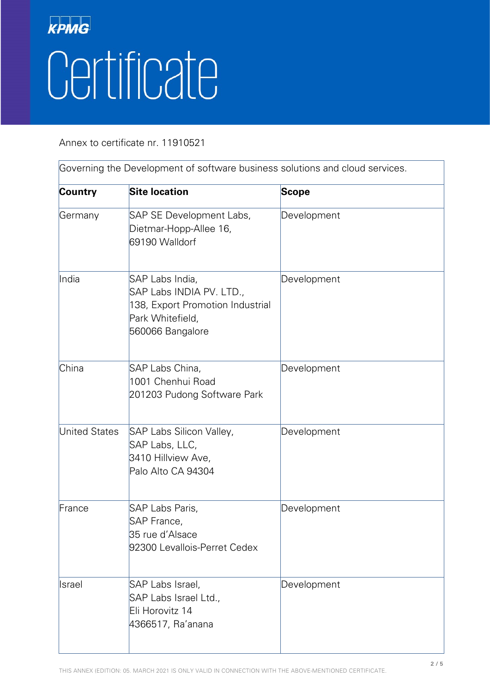| Governing the Development of software business solutions and cloud services. |                                                                                                                         |             |  |  |
|------------------------------------------------------------------------------|-------------------------------------------------------------------------------------------------------------------------|-------------|--|--|
| <b>Country</b>                                                               | <b>Site location</b>                                                                                                    | Scope       |  |  |
| Germany                                                                      | SAP SE Development Labs,<br>Dietmar-Hopp-Allee 16,<br>69190 Walldorf                                                    | Development |  |  |
| India                                                                        | SAP Labs India,<br>SAP Labs INDIA PV. LTD.,<br>138, Export Promotion Industrial<br>Park Whitefield,<br>560066 Bangalore | Development |  |  |
| China                                                                        | SAP Labs China,<br>1001 Chenhui Road<br>201203 Pudong Software Park                                                     | Development |  |  |
| United States                                                                | SAP Labs Silicon Valley,<br>SAP Labs, LLC,<br>3410 Hillview Ave,<br>Palo Alto CA 94304                                  | Development |  |  |
| France                                                                       | SAP Labs Paris,<br>SAP France,<br>35 rue d'Alsace<br>92300 Levallois-Perret Cedex                                       | Development |  |  |
| <b>Israel</b>                                                                | SAP Labs Israel,<br>SAP Labs Israel Ltd.,<br>Eli Horovitz 14<br>4366517, Ra'anana                                       | Development |  |  |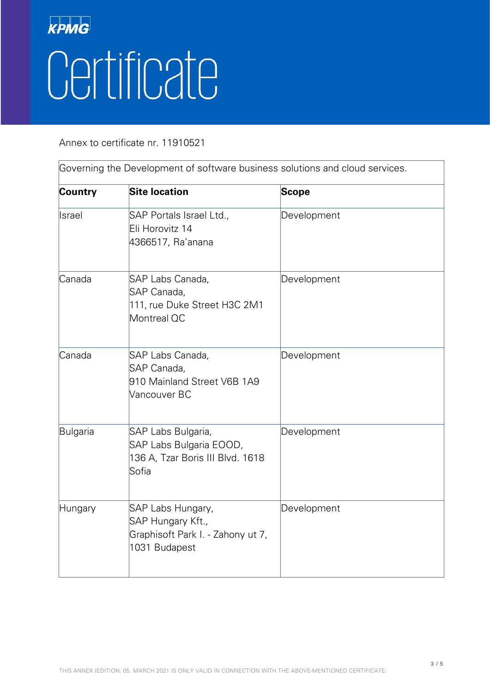| Governing the Development of software business solutions and cloud services. |                                                                                              |             |  |  |
|------------------------------------------------------------------------------|----------------------------------------------------------------------------------------------|-------------|--|--|
| Country                                                                      | <b>Site location</b>                                                                         | Scope       |  |  |
| <b>Israel</b>                                                                | SAP Portals Israel Ltd.,<br>Eli Horovitz 14<br>4366517, Ra'anana                             | Development |  |  |
| Canada                                                                       | SAP Labs Canada,<br>SAP Canada,<br>111, rue Duke Street H3C 2M1<br>Montreal QC               | Development |  |  |
| Canada                                                                       | SAP Labs Canada,<br>SAP Canada,<br>910 Mainland Street V6B 1A9<br>Vancouver BC               | Development |  |  |
| Bulgaria                                                                     | SAP Labs Bulgaria,<br>SAP Labs Bulgaria EOOD,<br>136 A, Tzar Boris III Blvd. 1618<br>Sofia   | Development |  |  |
| Hungary                                                                      | SAP Labs Hungary,<br>SAP Hungary Kft.,<br>Graphisoft Park I. - Zahony ut 7,<br>1031 Budapest | Development |  |  |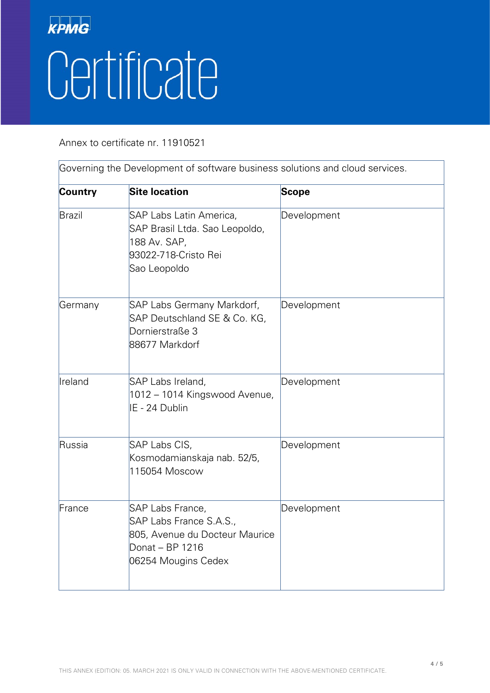| Governing the Development of software business solutions and cloud services. |                                                                                                                         |              |  |  |
|------------------------------------------------------------------------------|-------------------------------------------------------------------------------------------------------------------------|--------------|--|--|
| Country                                                                      | <b>Site location</b>                                                                                                    | <b>Scope</b> |  |  |
| Brazil                                                                       | SAP Labs Latin America,<br>SAP Brasil Ltda. Sao Leopoldo,<br>188 Av. SAP,<br>93022-718-Cristo Rei<br>Sao Leopoldo       | Development  |  |  |
| Germany                                                                      | SAP Labs Germany Markdorf,<br>SAP Deutschland SE & Co. KG,<br>Dornierstraße 3<br>88677 Markdorf                         | Development  |  |  |
| Ireland                                                                      | SAP Labs Ireland,<br>1012 - 1014 Kingswood Avenue,<br>IE - 24 Dublin                                                    | Development  |  |  |
| Russia                                                                       | SAP Labs CIS,<br>Kosmodamianskaja nab. 52/5,<br>115054 Moscow                                                           | Development  |  |  |
| France                                                                       | SAP Labs France,<br>SAP Labs France S.A.S.,<br>805, Avenue du Docteur Maurice<br>Donat - BP 1216<br>06254 Mougins Cedex | Development  |  |  |